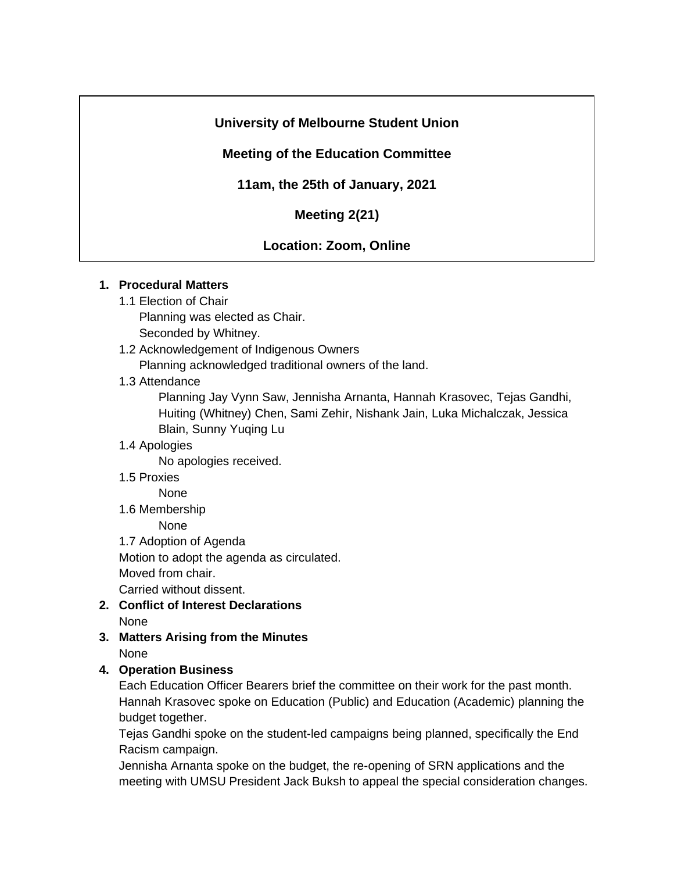# **University of Melbourne Student Union**

## **Meeting of the Education Committee**

**11am, the 25th of January, 2021**

**Meeting 2(21)**

### **Location: Zoom, Online**

#### **1. Procedural Matters**

1.1 Election of Chair Planning was elected as Chair.

Seconded by Whitney.

- 1.2 Acknowledgement of Indigenous Owners Planning acknowledged traditional owners of the land.
- 1.3 Attendance

Planning Jay Vynn Saw, Jennisha Arnanta, Hannah Krasovec, Tejas Gandhi, Huiting (Whitney) Chen, Sami Zehir, Nishank Jain, Luka Michalczak, Jessica Blain, Sunny Yuqing Lu

1.4 Apologies

No apologies received.

1.5 Proxies

None

1.6 Membership

None

1.7 Adoption of Agenda

Motion to adopt the agenda as circulated.

Moved from chair.

Carried without dissent.

- **2. Conflict of Interest Declarations** None
- **3. Matters Arising from the Minutes** None

### **4. Operation Business**

Each Education Officer Bearers brief the committee on their work for the past month. Hannah Krasovec spoke on Education (Public) and Education (Academic) planning the budget together.

Tejas Gandhi spoke on the student-led campaigns being planned, specifically the End Racism campaign.

Jennisha Arnanta spoke on the budget, the re-opening of SRN applications and the meeting with UMSU President Jack Buksh to appeal the special consideration changes.